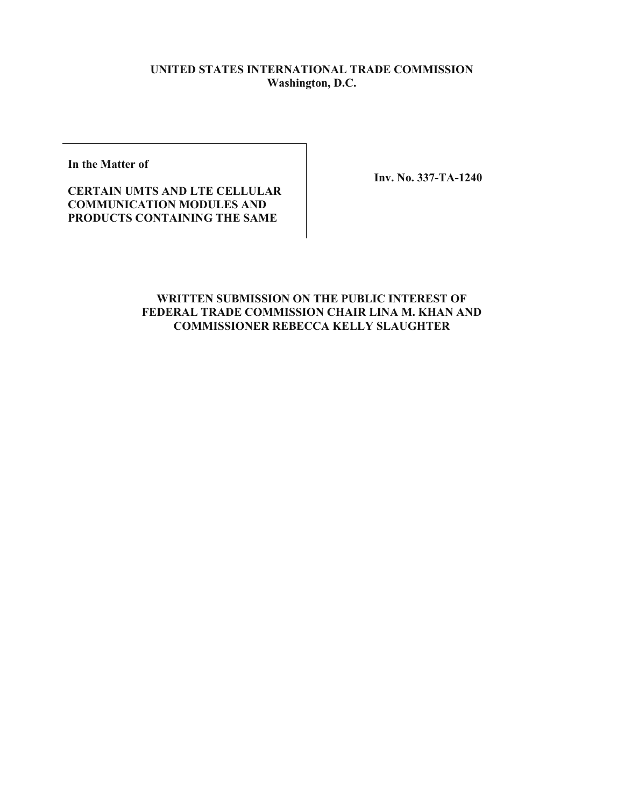## **UNITED STATES INTERNATIONAL TRADE COMMISSION Washington, D.C.**

**In the Matter of** 

**Inv. No. 337-TA-1240** 

**CERTAIN UMTS AND LTE CELLULAR COMMUNICATION MODULES AND PRODUCTS CONTAINING THE SAME** 

## **WRITTEN SUBMISSION ON THE PUBLIC INTEREST OF FEDERAL TRADE COMMISSION CHAIR LINA M. KHAN AND COMMISSIONER REBECCA KELLY SLAUGHTER**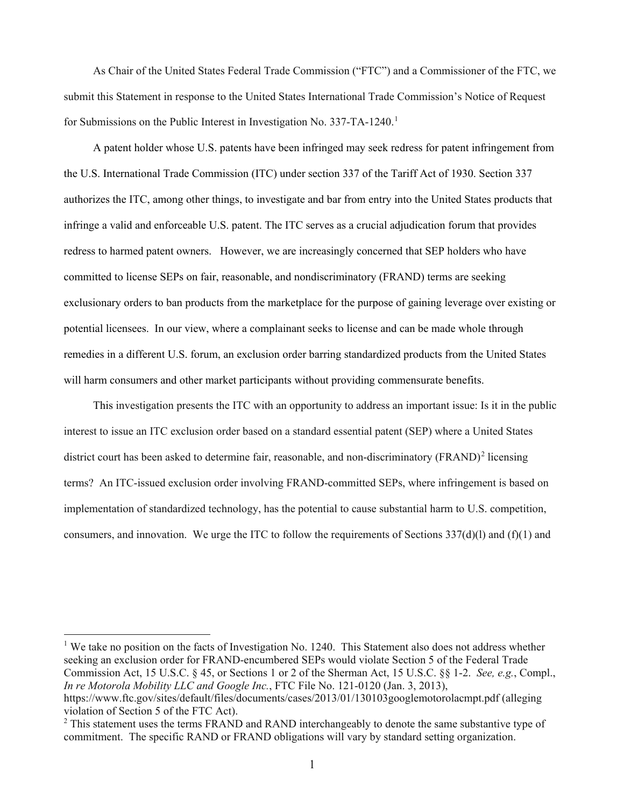As Chair of the United States Federal Trade Commission ("FTC") and a Commissioner of the FTC, we submit this Statement in response to the United States International Trade Commission's Notice of Request for Submissions on the Public Interest in Investigation No. 337-TA-1240.<sup>1</sup>

 redress to harmed patent owners. However, we are increasingly concerned that SEP holders who have potential licensees. In our view, where a complainant seeks to license and can be made whole through will harm consumers and other market participants without providing commensurate benefits. A patent holder whose U.S. patents have been infringed may seek redress for patent infringement from the U.S. International Trade Commission (ITC) under section 337 of the Tariff Act of 1930. Section 337 authorizes the ITC, among other things, to investigate and bar from entry into the United States products that infringe a valid and enforceable U.S. patent. The ITC serves as a crucial adjudication forum that provides committed to license SEPs on fair, reasonable, and nondiscriminatory (FRAND) terms are seeking exclusionary orders to ban products from the marketplace for the purpose of gaining leverage over existing or remedies in a different U.S. forum, an exclusion order barring standardized products from the United States

 terms? An ITC-issued exclusion order involving FRAND-committed SEPs, where infringement is based on consumers, and innovation. We urge the ITC to follow the requirements of Sections  $337(d)(l)$  and  $(f)(1)$  and This investigation presents the ITC with an opportunity to address an important issue: Is it in the public interest to issue an ITC exclusion order based on a standard essential patent (SEP) where a United States district court has been asked to determine fair, reasonable, and non-discriminatory  $(FRAND)^2$  licensing implementation of standardized technology, has the potential to cause substantial harm to U.S. competition,

<span id="page-1-0"></span> seeking an exclusion order for FRAND-encumbered SEPs would violate Section 5 of the Federal Trade Commission Act, 15 U.S.C. § 45, or Sections 1 or 2 of the Sherman Act, 15 U.S.C. §§ 1-2. *See, e.g.*, Compl., <sup>1</sup> We take no position on the facts of Investigation No. 1240. This Statement also does not address whether *In re Motorola Mobility LLC and Google Inc.*, FTC File No. 121-0120 (Jan. 3, 2013),

<https://www.ftc.gov/sites/default/files/documents/cases/2013/01/130103googlemotorolacmpt.pdf> (alleging violation of Section 5 of the FTC Act).

<span id="page-1-1"></span> commitment. The specific RAND or FRAND obligations will vary by standard setting organization. <sup>2</sup> This statement uses the terms FRAND and RAND interchangeably to denote the same substantive type of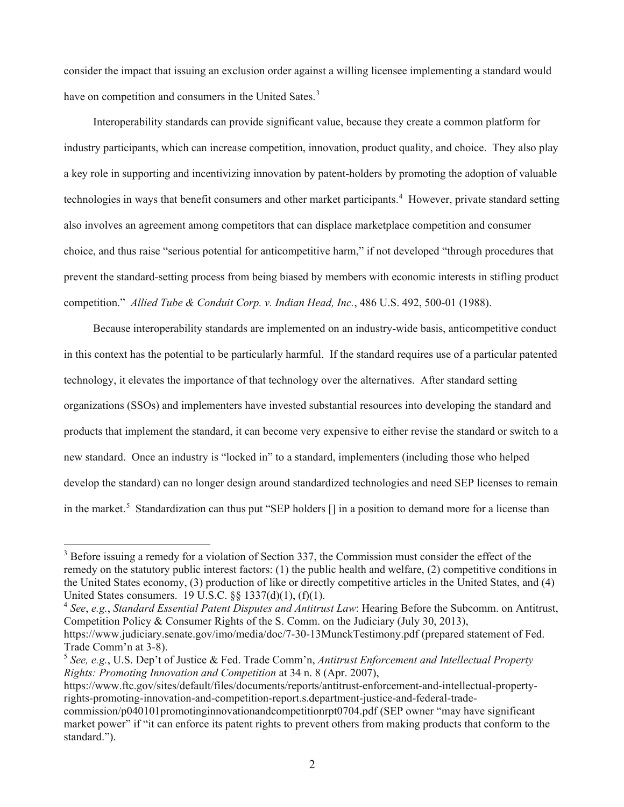have on competition and consumers in the United Sates.<sup>3</sup> consider the impact that issuing an exclusion order against a willing licensee implementing a standard would

 industry participants, which can increase competition, innovation, product quality, and choice. They also play technologies in ways that benefit consumers and other market participants.<sup>[4](#page-2-1)</sup> However, private standard setting competition." *Allied Tube & Conduit Corp. v. Indian Head, Inc.*, 486 U.S. 492, 500-01 (1988). Interoperability standards can provide significant value, because they create a common platform for a key role in supporting and incentivizing innovation by patent-holders by promoting the adoption of valuable also involves an agreement among competitors that can displace marketplace competition and consumer choice, and thus raise "serious potential for anticompetitive harm," if not developed "through procedures that prevent the standard-setting process from being biased by members with economic interests in stifling product

 in this context has the potential to be particularly harmful. If the standard requires use of a particular patented in the market.<sup>[5](#page-2-2)</sup> Standardization can thus put "SEP holders [] in a position to demand more for a license than Because interoperability standards are implemented on an industry-wide basis, anticompetitive conduct technology, it elevates the importance of that technology over the alternatives. After standard setting organizations (SSOs) and implementers have invested substantial resources into developing the standard and products that implement the standard, it can become very expensive to either revise the standard or switch to a new standard. Once an industry is "locked in" to a standard, implementers (including those who helped develop the standard) can no longer design around standardized technologies and need SEP licenses to remain

<span id="page-2-1"></span><sup>4</sup>*See*, *e.g.*, *Standard Essential Patent Disputes and Antitrust Law*: Hearing Before the Subcomm. on Antitrust, Competition Policy & Consumer Rights of the S. Comm. on the Judiciary (July 30, 2013),

<span id="page-2-0"></span> United States consumers. 19 U.S.C. §§ 1337(d)(1), (f)(1). <sup>3</sup> Before issuing a remedy for a violation of Section 337, the Commission must consider the effect of the remedy on the statutory public interest factors: (1) the public health and welfare, (2) competitive conditions in the United States economy, (3) production of like or directly competitive articles in the United States, and (4)

<https://www.judiciary.senate.gov/imo/media/doc/7-30-13MunckTestimony.pdf>(prepared statement of Fed. Trade Comm'n at 3-8).

<span id="page-2-2"></span> <sup>5</sup>*See, e.g.*, U.S. Dep't of Justice & Fed. Trade Comm'n, *Antitrust Enforcement and Intellectual Property Rights: Promoting Innovation and Competition* at 34 n. 8 (Apr. 2007),

<https://www.ftc.gov/sites/default/files/documents/reports/antitrust-enforcement-and-intellectual-property>rights-promoting-innovation-and-competition-report.s.department-justice-and-federal-trade-

commission/p040101promotinginnovationandcompetitionrpt0704.pdf (SEP owner "may have significant market power" if "it can enforce its patent rights to prevent others from making products that conform to the standard.").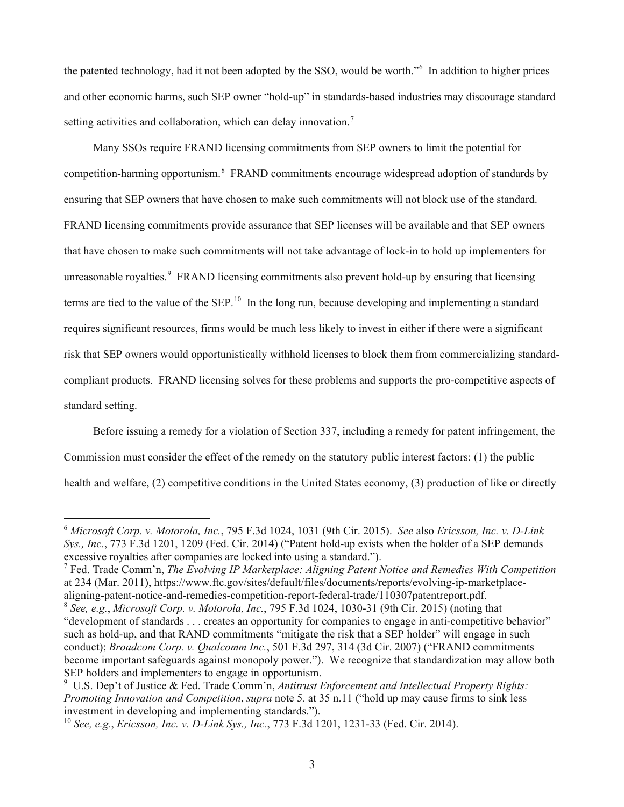the patented technology, had it not been adopted by the SSO, would be worth."<sup>6</sup> In addition to higher prices and other economic harms, such SEP owner "hold-up" in standards-based industries may discourage standard setting activities and collaboration, which can delay innovation.<sup>[7](#page-3-1)</sup>

competition-harming opportunism.<sup>8</sup> FRAND commitments encourage widespread adoption of standards by unreasonable royalties.<sup>[9](#page-3-3)</sup> FRAND licensing commitments also prevent hold-up by ensuring that licensing terms are tied to the value of the SEP.<sup>10</sup> In the long run, because developing and implementing a standard Many SSOs require FRAND licensing commitments from SEP owners to limit the potential for ensuring that SEP owners that have chosen to make such commitments will not block use of the standard. FRAND licensing commitments provide assurance that SEP licenses will be available and that SEP owners that have chosen to make such commitments will not take advantage of lock-in to hold up implementers for requires significant resources, firms would be much less likely to invest in either if there were a significant risk that SEP owners would opportunistically withhold licenses to block them from commercializing standardcompliant products. FRAND licensing solves for these problems and supports the pro-competitive aspects of standard setting.

Before issuing a remedy for a violation of Section 337, including a remedy for patent infringement, the Commission must consider the effect of the remedy on the statutory public interest factors: (1) the public health and welfare, (2) competitive conditions in the United States economy, (3) production of like or directly

<span id="page-3-0"></span> <sup>6</sup>*Microsoft Corp. v. Motorola, Inc.*, 795 F.3d 1024, 1031 (9th Cir. 2015). *See* also *Ericsson, Inc. v. D-Link Sys., Inc.*, 773 F.3d 1201, 1209 (Fed. Cir. 2014) ("Patent hold-up exists when the holder of a SEP demands excessive royalties after companies are locked into using a standard.").

<span id="page-3-1"></span><sup>7</sup> Fed. Trade Comm'n, *The Evolving IP Marketplace: Aligning Patent Notice and Remedies With Competition*  at 234 (Mar. 2011),<https://www.ftc.gov/sites/default/files/documents/reports/evolving-ip-marketplace>aligning-patent-notice-and-remedies-competition-report-federal-trade/110307patentreport.pdf. 8 *See, e.g.*, *Microsoft Corp. v. Motorola, Inc.*, 795 F.3d 1024, 1030-31 (9th Cir. 2015) (noting that

<span id="page-3-2"></span> such as hold-up, and that RAND commitments "mitigate the risk that a SEP holder" will engage in such "development of standards . . . creates an opportunity for companies to engage in anti-competitive behavior" conduct); *Broadcom Corp. v. Qualcomm Inc.*, 501 F.3d 297, 314 (3d Cir. 2007) ("FRAND commitments become important safeguards against monopoly power."). We recognize that standardization may allow both SEP holders and implementers to engage in opportunism.

<span id="page-3-3"></span> 9 U.S. Dep't of Justice & Fed. Trade Comm'n, *Antitrust Enforcement and Intellectual Property Rights: Promoting Innovation and Competition, <i>supra* note 5, at 35 n.11 ("hold up may cause firms to sink less investment in developing and implementing standards.").

<span id="page-3-4"></span><sup>10</sup>*See, e.g.*, *Ericsson, Inc. v. D-Link Sys., Inc.*, 773 F.3d 1201, 1231-33 (Fed. Cir. 2014).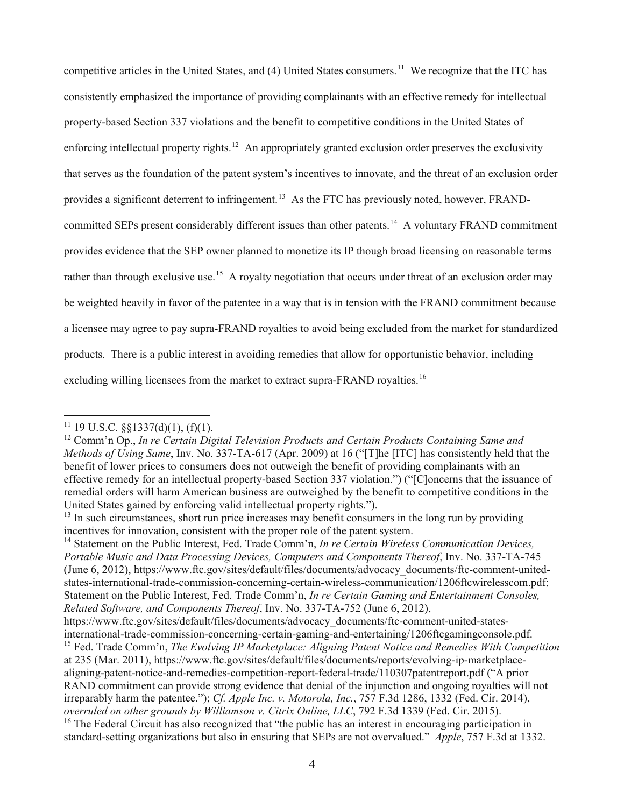competitive articles in the United States, and (4) United States consumers.<sup>[11](#page-4-0)</sup> We recognize that the ITC has enforcing intellectual property rights.<sup>12</sup> An appropriately granted exclusion order preserves the exclusivity provides a significant deterrent to infringement.<sup>[13](#page-4-2)</sup> As the FTC has previously noted, however, FRAND-committed SEPs present considerably different issues than other patents.<sup>[14](#page-4-3)</sup> A voluntary FRAND commitment rather than through exclusive use.<sup>15</sup> A royalty negotiation that occurs under threat of an exclusion order may products. There is a public interest in avoiding remedies that allow for opportunistic behavior, including excluding willing licensees from the market to extract supra-FRAND royalties.<sup>[16](#page-4-5)</sup> consistently emphasized the importance of providing complainants with an effective remedy for intellectual property-based Section 337 violations and the benefit to competitive conditions in the United States of that serves as the foundation of the patent system's incentives to innovate, and the threat of an exclusion order provides evidence that the SEP owner planned to monetize its IP though broad licensing on reasonable terms be weighted heavily in favor of the patentee in a way that is in tension with the FRAND commitment because a licensee may agree to pay supra-FRAND royalties to avoid being excluded from the market for standardized

<span id="page-4-3"></span> 14 Statement on the Public Interest, Fed. Trade Comm'n, *In re Certain Wireless Communication Devices, Portable Music and Data Processing Devices, Computers and Components Thereof*, Inv. No. 337-TA-745 (June 6, 2012), [https://www.ftc.gov/sites/default/files/documents/advocacy\\_documents/ftc-comment-united](https://www.ftc.gov/sites/default/files/documents/advocacy_documents/ftc-comment-united)states-international-trade-commission-concerning-certain-wireless-communication/1206ftcwirelesscom.pdf; Statement on the Public Interest, Fed. Trade Comm'n, *In re Certain Gaming and Entertainment Consoles, Related Software, and Components Thereof*, Inv. No. 337-TA-752 (June 6, 2012),

<span id="page-4-0"></span> $11$  19 U.S.C. §§1337(d)(1), (f)(1).

<span id="page-4-1"></span> *Methods of Using Same*, Inv. No. 337-TA-617 (Apr. 2009) at 16 ("[T]he [ITC] has consistently held that the 12 Comm'n Op., *In re Certain Digital Television Products and Certain Products Containing Same and*  benefit of lower prices to consumers does not outweigh the benefit of providing complainants with an effective remedy for an intellectual property-based Section 337 violation.") ("[C]oncerns that the issuance of remedial orders will harm American business are outweighed by the benefit to competitive conditions in the United States gained by enforcing valid intellectual property rights.").

<span id="page-4-2"></span> $<sup>13</sup>$  In such circumstances, short run price increases may benefit consumers in the long run by providing</sup> incentives for innovation, consistent with the proper role of the patent system.

<span id="page-4-4"></span>[https://www.ftc.gov/sites/default/files/documents/advocacy\\_documents/ftc-comment-united-states](https://www.ftc.gov/sites/default/files/documents/advocacy_documents/ftc-comment-united-states)international-trade-commission-concerning-certain-gaming-and-entertaining/1206ftcgamingconsole.pdf. 15 Fed. Trade Comm'n, *The Evolving IP Marketplace: Aligning Patent Notice and Remedies With Competition*  at 235 (Mar. 2011),<https://www.ftc.gov/sites/default/files/documents/reports/evolving-ip-marketplace>aligning-patent-notice-and-remedies-competition-report-federal-trade/110307patentreport.pdf ("A prior RAND commitment can provide strong evidence that denial of the injunction and ongoing royalties will not irreparably harm the patentee."); *Cf. Apple Inc. v. Motorola, Inc.*, 757 F.3d 1286, 1332 (Fed. Cir. 2014), *overruled on other grounds by Williamson v. Citrix Online, LLC*, 792 F.3d 1339 (Fed. Cir. 2015).

<span id="page-4-5"></span> standard-setting organizations but also in ensuring that SEPs are not overvalued." *Apple*, 757 F.3d at 1332. <sup>16</sup> The Federal Circuit has also recognized that "the public has an interest in encouraging participation in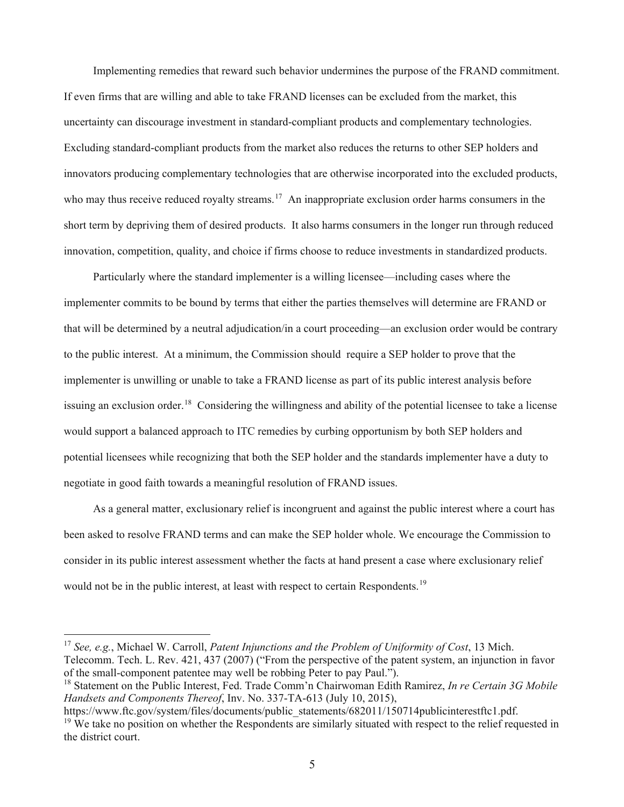Implementing remedies that reward such behavior undermines the purpose of the FRAND commitment. If even firms that are willing and able to take FRAND licenses can be excluded from the market, this who may thus receive reduced royalty streams.<sup>[17](#page-5-0)</sup> An inappropriate exclusion order harms consumers in the innovation, competition, quality, and choice if firms choose to reduce investments in standardized products. uncertainty can discourage investment in standard-compliant products and complementary technologies. Excluding standard-compliant products from the market also reduces the returns to other SEP holders and innovators producing complementary technologies that are otherwise incorporated into the excluded products, short term by depriving them of desired products. It also harms consumers in the longer run through reduced

 to the public interest. At a minimum, the Commission should require a SEP holder to prove that the issuing an exclusion order.<sup>[18](#page-5-1)</sup> Considering the willingness and ability of the potential licensee to take a license negotiate in good faith towards a meaningful resolution of FRAND issues. Particularly where the standard implementer is a willing licensee—including cases where the implementer commits to be bound by terms that either the parties themselves will determine are FRAND or that will be determined by a neutral adjudication/in a court proceeding—an exclusion order would be contrary implementer is unwilling or unable to take a FRAND license as part of its public interest analysis before would support a balanced approach to ITC remedies by curbing opportunism by both SEP holders and potential licensees while recognizing that both the SEP holder and the standards implementer have a duty to

 been asked to resolve FRAND terms and can make the SEP holder whole. We encourage the Commission to consider in its public interest assessment whether the facts at hand present a case where exclusionary relief would not be in the public interest, at least with respect to certain Respondents.<sup>19</sup> As a general matter, exclusionary relief is incongruent and against the public interest where a court has

<span id="page-5-0"></span><sup>17</sup>*See, e.g.*, Michael W. Carroll, *Patent Injunctions and the Problem of Uniformity of Cost*, 13 Mich. Telecomm. Tech. L. Rev. 421, 437 (2007) ("From the perspective of the patent system, an injunction in favor of the small-component patentee may well be robbing Peter to pay Paul.").

<span id="page-5-1"></span> 18 Statement on the Public Interest, Fed. Trade Comm'n Chairwoman Edith Ramirez, *In re Certain 3G Mobile Handsets and Components Thereof*, Inv. No. 337-TA-613 (July 10, 2015),

<span id="page-5-2"></span>the district court. [https://www.ftc.gov/system/files/documents/public\\_statements/682011/150714publicinterestftc1.pdf.](https://www.ftc.gov/system/files/documents/public_statements/682011/150714publicinterestftc1.pdf)  $19$  We take no position on whether the Respondents are similarly situated with respect to the relief requested in the district court.